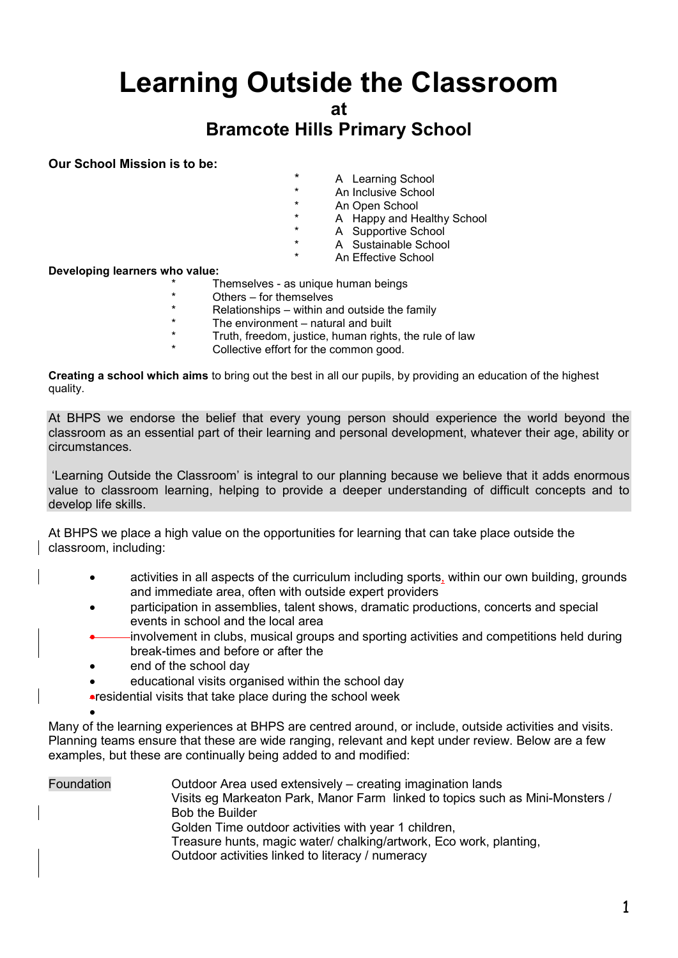# **Learning Outside the Classroom**

**at**

## **Bramcote Hills Primary School**

**Our School Mission is to be:**

- A Learning School
- \* An Inclusive School
- \* An Open School
- \* A Happy and Healthy School
- \* A Supportive School<br>\* A Sustainable School
	- A Sustainable School
	- An Effective School

**Developing learners who value:**

- \* Themselves as unique human beings
- \* Others for themselves
- \* Relationships within and outside the family  $*$  The environment unctural and built
- \* The environment natural and built
- \* Truth, freedom, justice, human rights, the rule of law
- Collective effort for the common good.

**Creating a school which aims** to bring out the best in all our pupils, by providing an education of the highest quality.

At BHPS we endorse the belief that every young person should experience the world beyond the classroom as an essential part of their learning and personal development, whatever their age, ability or circumstances.

'Learning Outside the Classroom' is integral to our planning because we believe that it adds enormous value to classroom learning, helping to provide a deeper understanding of difficult concepts and to develop life skills.

At BHPS we place a high value on the opportunities for learning that can take place outside the classroom, including:

- activities in all aspects of the curriculum including sports, within our own building, grounds and immediate area, often with outside expert providers
- participation in assemblies, talent shows, dramatic productions, concerts and special events in school and the local area
- involvement in clubs, musical groups and sporting activities and competitions held during break-times and before or after the
- end of the school day

 $\bullet$ 

- educational visits organised within the school day
- residential visits that take place during the school week

Many of the learning experiences at BHPS are centred around, or include, outside activities and visits. Planning teams ensure that these are wide ranging, relevant and kept under review. Below are a few examples, but these are continually being added to and modified:

Foundation Outdoor Area used extensively – creating imagination lands Visits eg Markeaton Park, Manor Farm linked to topics such as Mini-Monsters / Bob the Builder Golden Time outdoor activities with year 1 children, Treasure hunts, magic water/ chalking/artwork, Eco work, planting, Outdoor activities linked to literacy / numeracy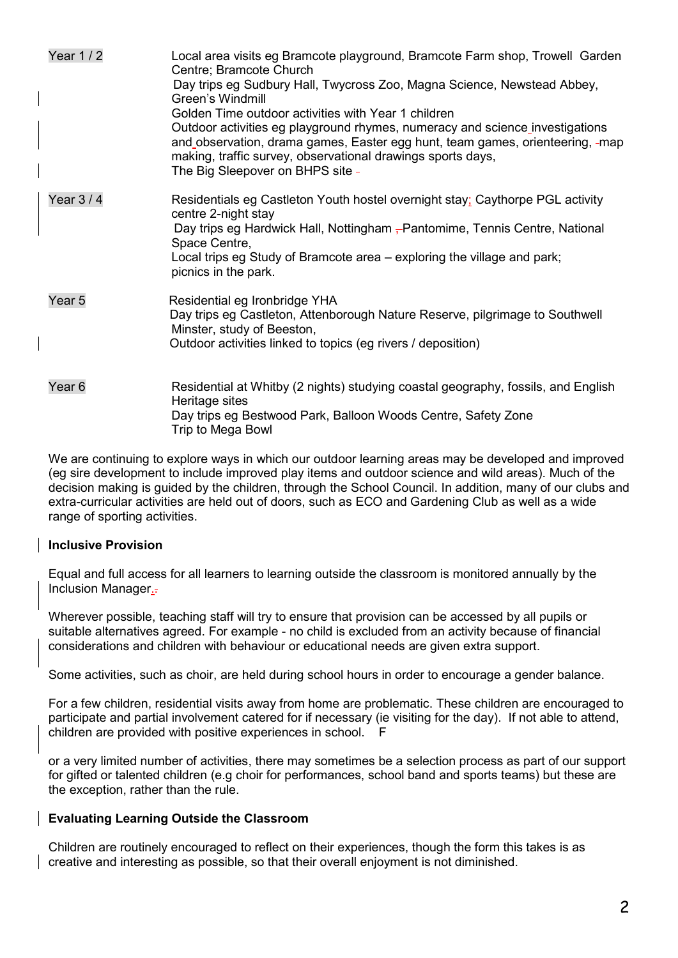| Year 1 / 2        | Local area visits eg Bramcote playground, Bramcote Farm shop, Trowell Garden<br>Centre; Bramcote Church<br>Day trips eg Sudbury Hall, Twycross Zoo, Magna Science, Newstead Abbey,<br>Green's Windmill<br>Golden Time outdoor activities with Year 1 children<br>Outdoor activities eg playground rhymes, numeracy and science investigations<br>and observation, drama games, Easter egg hunt, team games, orienteering, -map<br>making, traffic survey, observational drawings sports days,<br>The Big Sleepover on BHPS site - |
|-------------------|-----------------------------------------------------------------------------------------------------------------------------------------------------------------------------------------------------------------------------------------------------------------------------------------------------------------------------------------------------------------------------------------------------------------------------------------------------------------------------------------------------------------------------------|
| Year $3/4$        | Residentials eg Castleton Youth hostel overnight stay; Caythorpe PGL activity<br>centre 2-night stay<br>Day trips eg Hardwick Hall, Nottingham – Pantomime, Tennis Centre, National<br>Space Centre,<br>Local trips eg Study of Bramcote area – exploring the village and park;<br>picnics in the park.                                                                                                                                                                                                                           |
| Year <sub>5</sub> | Residential eg Ironbridge YHA<br>Day trips eg Castleton, Attenborough Nature Reserve, pilgrimage to Southwell<br>Minster, study of Beeston,<br>Outdoor activities linked to topics (eg rivers / deposition)                                                                                                                                                                                                                                                                                                                       |
| Year <sub>6</sub> | Residential at Whitby (2 nights) studying coastal geography, fossils, and English<br>Heritage sites<br>Day trips eg Bestwood Park, Balloon Woods Centre, Safety Zone<br>Trip to Mega Bowl                                                                                                                                                                                                                                                                                                                                         |

We are continuing to explore ways in which our outdoor learning areas may be developed and improved (eg sire development to include improved play items and outdoor science and wild areas). Much of the decision making is guided by the children, through the School Council. In addition, many of our clubs and extra-curricular activities are held out of doors, such as ECO and Gardening Club as well as a wide range of sporting activities.

#### **Inclusive Provision**

Equal and full access for all learners to learning outside the classroom is monitored annually by the Inclusion Manager.

Wherever possible, teaching staff will try to ensure that provision can be accessed by all pupils or suitable alternatives agreed. For example - no child is excluded from an activity because of financial considerations and children with behaviour or educational needs are given extra support.

Some activities, such as choir, are held during school hours in order to encourage a gender balance.

For a few children, residential visits away from home are problematic. These children are encouraged to participate and partial involvement catered for if necessary (ie visiting for the day). If not able to attend, children are provided with positive experiences in school. F

or a very limited number of activities, there may sometimes be a selection process as part of our support for gifted or talented children (e.g choir for performances, school band and sports teams) but these are the exception, rather than the rule.

#### **Evaluating Learning Outside the Classroom**

Children are routinely encouraged to reflect on their experiences, though the form this takes is as creative and interesting as possible, so that their overall enjoyment is not diminished.